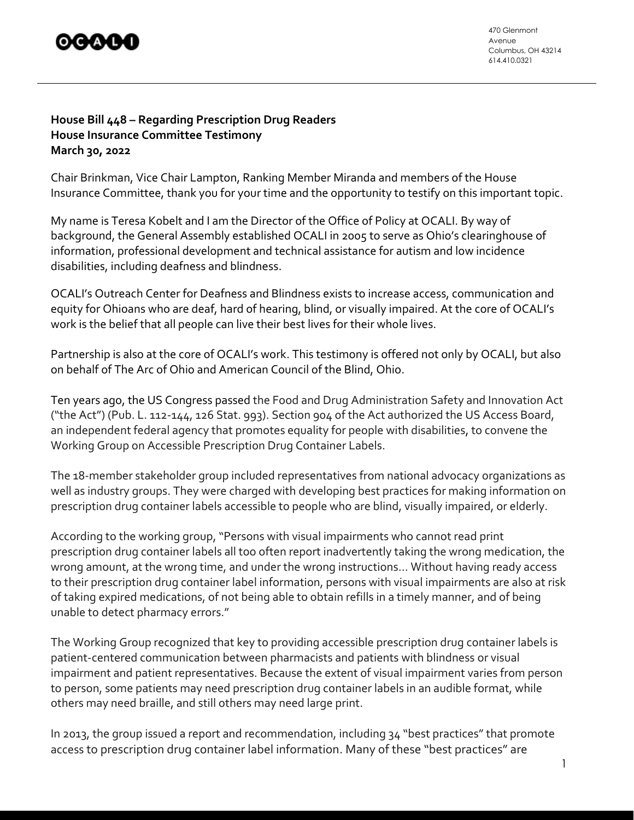

470 Glenmont Avenue Columbus, OH 43214 614.410.0321

## **House Bill 448 – Regarding Prescription Drug Readers House Insurance Committee Testimony March 30, 2022**

Chair Brinkman, Vice Chair Lampton, Ranking Member Miranda and members of the House Insurance Committee, thank you for your time and the opportunity to testify on this important topic.

My name is Teresa Kobelt and I am the Director of the Office of Policy at OCALI. By way of background, the General Assembly established OCALI in 2005 to serve as Ohio's clearinghouse of information, professional development and technical assistance for autism and low incidence disabilities, including deafness and blindness.

OCALI's Outreach Center for Deafness and Blindness exists to increase access, communication and equity for Ohioans who are deaf, hard of hearing, blind, or visually impaired. At the core of OCALI's work is the belief that all people can live their best lives for their whole lives.

Partnership is also at the core of OCALI's work. This testimony is offered not only by OCALI, but also on behalf of The Arc of Ohio and American Council of the Blind, Ohio.

Ten years ago, the US Congress passed the Food and Drug Administration Safety and Innovation Act ("the Act") (Pub. L. 112-144, 126 Stat. 993). Section 904 of the Act authorized the US Access Board, an independent federal agency that promotes equality for people with disabilities, to convene the Working Group on Accessible Prescription Drug Container Labels.

The 18-member stakeholder group included representatives from national advocacy organizations as well as industry groups. They were charged with developing best practices for making information on prescription drug container labels accessible to people who are blind, visually impaired, or elderly.

According to the working group, "Persons with visual impairments who cannot read print prescription drug container labels all too often report inadvertently taking the wrong medication, the wrong amount, at the wrong time, and under the wrong instructions... Without having ready access to their prescription drug container label information, persons with visual impairments are also at risk of taking expired medications, of not being able to obtain refills in a timely manner, and of being unable to detect pharmacy errors."

The Working Group recognized that key to providing accessible prescription drug container labels is patient-centered communication between pharmacists and patients with blindness or visual impairment and patient representatives. Because the extent of visual impairment varies from person to person, some patients may need prescription drug container labels in an audible format, while others may need braille, and still others may need large print.

In 2013, the group issued a report and recommendation, including 34 "best practices" that promote access to prescription drug container label information. Many of these "best practices" are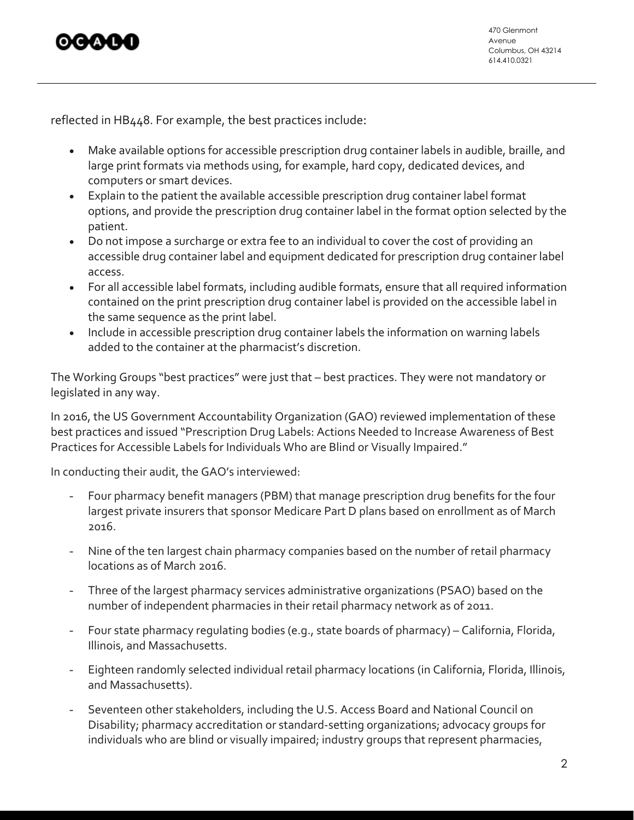

reflected in HB448. For example, the best practices include:

- Make available options for accessible prescription drug container labels in audible, braille, and large print formats via methods using, for example, hard copy, dedicated devices, and computers or smart devices.
- Explain to the patient the available accessible prescription drug container label format options, and provide the prescription drug container label in the format option selected by the patient.
- Do not impose a surcharge or extra fee to an individual to cover the cost of providing an accessible drug container label and equipment dedicated for prescription drug container label access.
- For all accessible label formats, including audible formats, ensure that all required information contained on the print prescription drug container label is provided on the accessible label in the same sequence as the print label.
- Include in accessible prescription drug container labels the information on warning labels added to the container at the pharmacist's discretion.

The Working Groups "best practices" were just that – best practices. They were not mandatory or legislated in any way.

In 2016, the US Government Accountability Organization (GAO) reviewed implementation of these best practices and issued "Prescription Drug Labels: Actions Needed to Increase Awareness of Best Practices for Accessible Labels for Individuals Who are Blind or Visually Impaired."

In conducting their audit, the GAO's interviewed:

- Four pharmacy benefit managers (PBM) that manage prescription drug benefits for the four largest private insurers that sponsor Medicare Part D plans based on enrollment as of March 2016.
- Nine of the ten largest chain pharmacy companies based on the number of retail pharmacy locations as of March 2016.
- Three of the largest pharmacy services administrative organizations (PSAO) based on the number of independent pharmacies in their retail pharmacy network as of 2011.
- Four state pharmacy regulating bodies (e.g., state boards of pharmacy) California, Florida, Illinois, and Massachusetts.
- Eighteen randomly selected individual retail pharmacy locations (in California, Florida, Illinois, and Massachusetts).
- Seventeen other stakeholders, including the U.S. Access Board and National Council on Disability; pharmacy accreditation or standard-setting organizations; advocacy groups for individuals who are blind or visually impaired; industry groups that represent pharmacies,